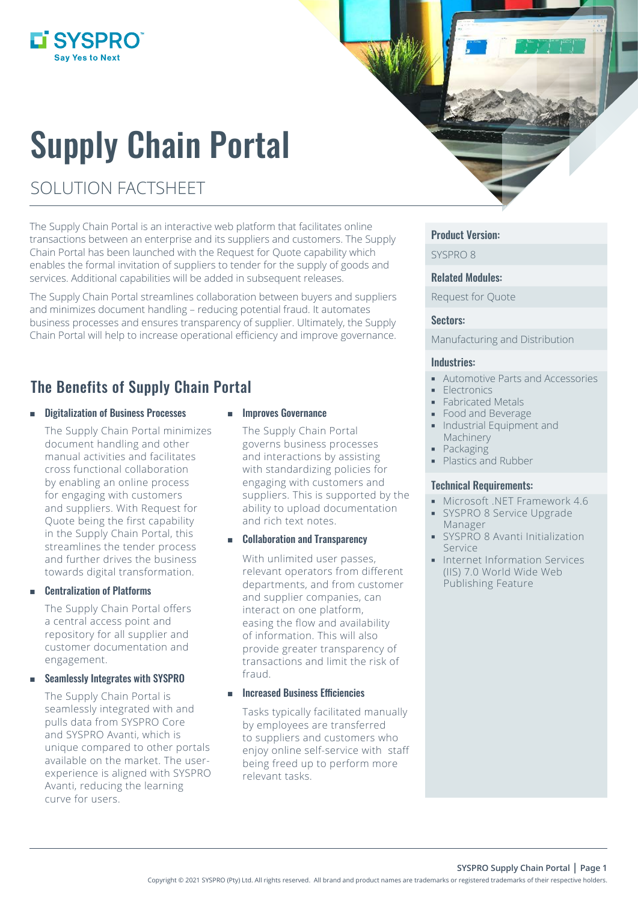## L'SYSPRO®

# Supply Chain Portal

## SOLUTION FACTSHEET

The Supply Chain Portal is an interactive web platform that facilitates online transactions between an enterprise and its suppliers and customers. The Supply Chain Portal has been launched with the Request for Quote capability which enables the formal invitation of suppliers to tender for the supply of goods and services. Additional capabilities will be added in subsequent releases.

The Supply Chain Portal streamlines collaboration between buyers and suppliers and minimizes document handling – reducing potential fraud. It automates business processes and ensures transparency of supplier. Ultimately, the Supply Chain Portal will help to increase operational efficiency and improve governance.

### The Benefits of Supply Chain Portal

Digitalization of Business Processes

The Supply Chain Portal minimizes document handling and other manual activities and facilitates cross functional collaboration by enabling an online process for engaging with customers and suppliers. With Request for Quote being the first capability in the Supply Chain Portal, this streamlines the tender process and further drives the business towards digital transformation.

#### Centralization of Platforms

The Supply Chain Portal offers a central access point and repository for all supplier and customer documentation and engagement.

#### Seamlessly Integrates with SYSPRO

The Supply Chain Portal is seamlessly integrated with and pulls data from SYSPRO Core and SYSPRO Avanti, which is unique compared to other portals available on the market. The userexperience is aligned with SYSPRO Avanti, reducing the learning curve for users.

#### Improves Governance

The Supply Chain Portal governs business processes and interactions by assisting with standardizing policies for engaging with customers and suppliers. This is supported by the ability to upload documentation and rich text notes.

#### **EXECOLLADORATION AND TRANSPARENCE**

With unlimited user passes, relevant operators from different departments, and from customer and supplier companies, can interact on one platform, easing the flow and availability of information. This will also provide greater transparency of transactions and limit the risk of fraud.

#### Increased Business Efficiencies

Tasks typically facilitated manually by employees are transferred to suppliers and customers who enjoy online self-service with staff being freed up to perform more relevant tasks.

#### Product Version:

SYSPRO 8

#### Related Modules:

Request for Quote

#### Sectors:

Manufacturing and Distribution

#### Industries:

- Automotive Parts and Accessories
- **Electronics**
- Fabricated Metals
- **Food and Beverage**
- **Industrial Equipment and** Machinery
	- Packaging
- Plastics and Rubber

#### Technical Requirements:

- **Microsoft .NET Framework 4.6**
- SYSPRO 8 Service Upgrade Manager
- **SYSPRO 8 Avanti Initialization** Service
- **Internet Information Services** (IIS) 7.0 World Wide Web Publishing Feature